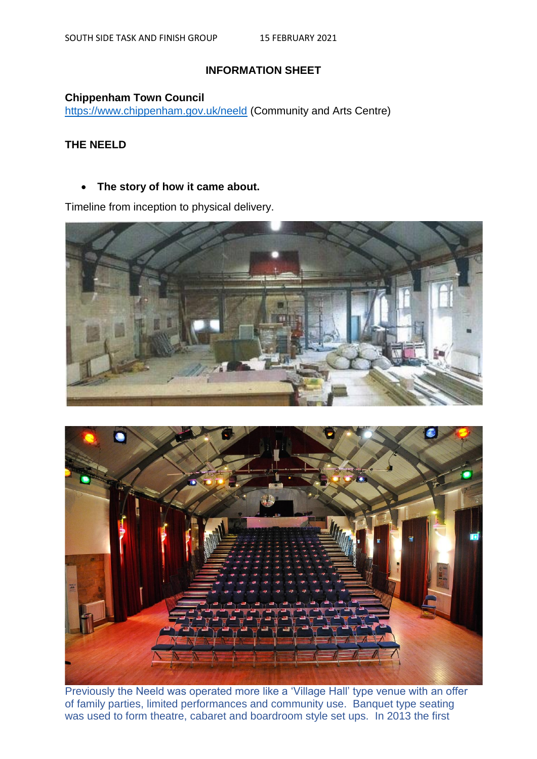# **INFORMATION SHEET**

### **Chippenham Town Council**

<https://www.chippenham.gov.uk/neeld> (Community and Arts Centre)

# **THE NEELD**

## **The story of how it came about.**

Timeline from inception to physical delivery.





Previously the Neeld was operated more like a 'Village Hall' type venue with an offer of family parties, limited performances and community use. Banquet type seating was used to form theatre, cabaret and boardroom style set ups. In 2013 the first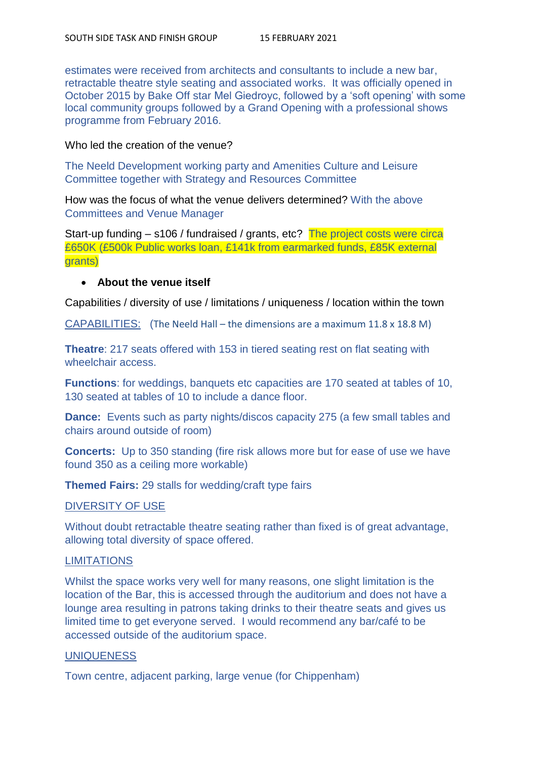estimates were received from architects and consultants to include a new bar, retractable theatre style seating and associated works. It was officially opened in October 2015 by Bake Off star Mel Giedroyc, followed by a 'soft opening' with some local community groups followed by a Grand Opening with a professional shows programme from February 2016.

### Who led the creation of the venue?

The Neeld Development working party and Amenities Culture and Leisure Committee together with Strategy and Resources Committee

How was the focus of what the venue delivers determined? With the above Committees and Venue Manager

Start-up funding – s106 / fundraised / grants, etc? The project costs were circa £650K (£500k Public works loan, £141k from earmarked funds, £85K external grants)

## **About the venue itself**

Capabilities / diversity of use / limitations / uniqueness / location within the town

CAPABILITIES: (The Neeld Hall – the dimensions are a maximum 11.8 x 18.8 M)

**Theatre**: 217 seats offered with 153 in tiered seating rest on flat seating with wheelchair access.

**Functions**: for weddings, banquets etc capacities are 170 seated at tables of 10. 130 seated at tables of 10 to include a dance floor.

**Dance:** Events such as party nights/discos capacity 275 (a few small tables and chairs around outside of room)

**Concerts:** Up to 350 standing (fire risk allows more but for ease of use we have found 350 as a ceiling more workable)

**Themed Fairs:** 29 stalls for wedding/craft type fairs

## DIVERSITY OF USE

Without doubt retractable theatre seating rather than fixed is of great advantage, allowing total diversity of space offered.

## **LIMITATIONS**

Whilst the space works very well for many reasons, one slight limitation is the location of the Bar, this is accessed through the auditorium and does not have a lounge area resulting in patrons taking drinks to their theatre seats and gives us limited time to get everyone served. I would recommend any bar/café to be accessed outside of the auditorium space.

#### **UNIQUENESS**

Town centre, adjacent parking, large venue (for Chippenham)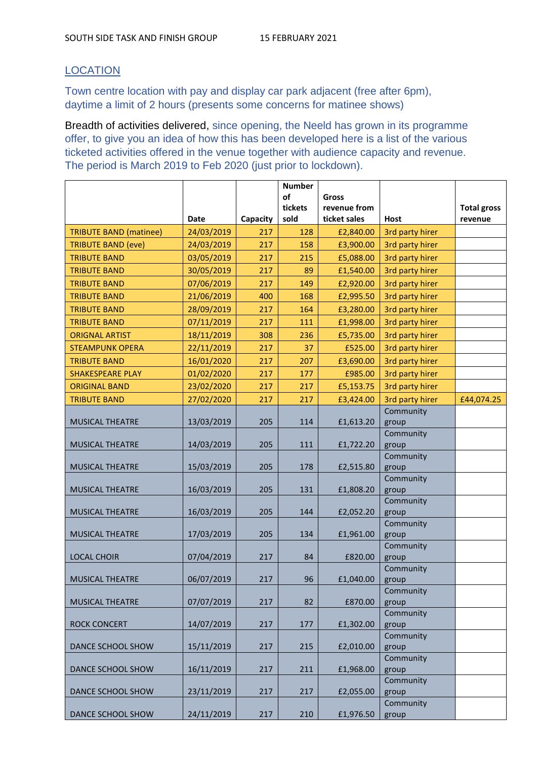# **LOCATION**

Town centre location with pay and display car park adjacent (free after 6pm), daytime a limit of 2 hours (presents some concerns for matinee shows)

Breadth of activities delivered, since opening, the Neeld has grown in its programme offer, to give you an idea of how this has been developed here is a list of the various ticketed activities offered in the venue together with audience capacity and revenue. The period is March 2019 to Feb 2020 (just prior to lockdown).

|                               |                    |                 | <b>Number</b> |                           |                                |                    |
|-------------------------------|--------------------|-----------------|---------------|---------------------------|--------------------------------|--------------------|
|                               |                    |                 | of            | Gross                     |                                |                    |
|                               |                    |                 | tickets       | revenue from              |                                | <b>Total gross</b> |
| <b>TRIBUTE BAND (matinee)</b> | Date<br>24/03/2019 | Capacity<br>217 | sold<br>128   | ticket sales<br>£2,840.00 | <b>Host</b><br>3rd party hirer | revenue            |
| <b>TRIBUTE BAND (eve)</b>     | 24/03/2019         | 217             | 158           | £3,900.00                 | 3rd party hirer                |                    |
| <b>TRIBUTE BAND</b>           | 03/05/2019         | 217             | 215           | £5,088.00                 | 3rd party hirer                |                    |
| <b>TRIBUTE BAND</b>           | 30/05/2019         | 217             | 89            | £1,540.00                 | 3rd party hirer                |                    |
| <b>TRIBUTE BAND</b>           | 07/06/2019         | 217             | 149           | £2,920.00                 | 3rd party hirer                |                    |
| <b>TRIBUTE BAND</b>           | 21/06/2019         | 400             | 168           | £2,995.50                 | 3rd party hirer                |                    |
| <b>TRIBUTE BAND</b>           | 28/09/2019         | 217             | 164           | £3,280.00                 | 3rd party hirer                |                    |
| <b>TRIBUTE BAND</b>           | 07/11/2019         | 217             | 111           | £1,998.00                 | 3rd party hirer                |                    |
| <b>ORIGNAL ARTIST</b>         | 18/11/2019         | 308             | 236           | £5,735.00                 | 3rd party hirer                |                    |
| <b>STEAMPUNK OPERA</b>        | 22/11/2019         | 217             | 37            | £525.00                   | 3rd party hirer                |                    |
| <b>TRIBUTE BAND</b>           | 16/01/2020         | 217             | 207           | £3,690.00                 | 3rd party hirer                |                    |
| <b>SHAKESPEARE PLAY</b>       | 01/02/2020         | 217             | 177           | £985.00                   | 3rd party hirer                |                    |
| <b>ORIGINAL BAND</b>          | 23/02/2020         | 217             | 217           | £5,153.75                 | 3rd party hirer                |                    |
| <b>TRIBUTE BAND</b>           | 27/02/2020         | 217             | 217           | £3,424.00                 | 3rd party hirer                | £44,074.25         |
|                               |                    |                 |               |                           | Community                      |                    |
| <b>MUSICAL THEATRE</b>        | 13/03/2019         | 205             | 114           | £1,613.20                 | group                          |                    |
| <b>MUSICAL THEATRE</b>        | 14/03/2019         | 205             | 111           | £1,722.20                 | Community                      |                    |
|                               |                    |                 |               |                           | group<br>Community             |                    |
| <b>MUSICAL THEATRE</b>        | 15/03/2019         | 205             | 178           | £2,515.80                 | group                          |                    |
|                               |                    |                 |               |                           | Community                      |                    |
| <b>MUSICAL THEATRE</b>        | 16/03/2019         | 205             | 131           | £1,808.20                 | group                          |                    |
|                               |                    |                 |               |                           | Community                      |                    |
| <b>MUSICAL THEATRE</b>        | 16/03/2019         | 205             | 144           | £2,052.20                 | group                          |                    |
| <b>MUSICAL THEATRE</b>        | 17/03/2019         | 205             | 134           | £1,961.00                 | Community<br>group             |                    |
|                               |                    |                 |               |                           | Community                      |                    |
| <b>LOCAL CHOIR</b>            | 07/04/2019         | 217             | 84            | £820.00                   | group                          |                    |
|                               |                    |                 |               |                           | Community                      |                    |
| <b>MUSICAL THEATRE</b>        | 06/07/2019         | 217             | 96            | £1,040.00                 | group                          |                    |
|                               |                    |                 |               |                           | Community                      |                    |
| <b>MUSICAL THEATRE</b>        | 07/07/2019         | 217             | 82            | £870.00                   | group<br>Community             |                    |
| <b>ROCK CONCERT</b>           | 14/07/2019         | 217             | 177           | £1,302.00                 | group                          |                    |
|                               |                    |                 |               |                           | Community                      |                    |
| DANCE SCHOOL SHOW             | 15/11/2019         | 217             | 215           | £2,010.00                 | group                          |                    |
|                               |                    |                 |               |                           | Community                      |                    |
| DANCE SCHOOL SHOW             | 16/11/2019         | 217             | 211           | £1,968.00                 | group                          |                    |
| DANCE SCHOOL SHOW             | 23/11/2019         | 217             | 217           | £2,055.00                 | Community                      |                    |
|                               |                    |                 |               |                           | group<br>Community             |                    |
| DANCE SCHOOL SHOW             | 24/11/2019         | 217             | 210           | £1,976.50                 | group                          |                    |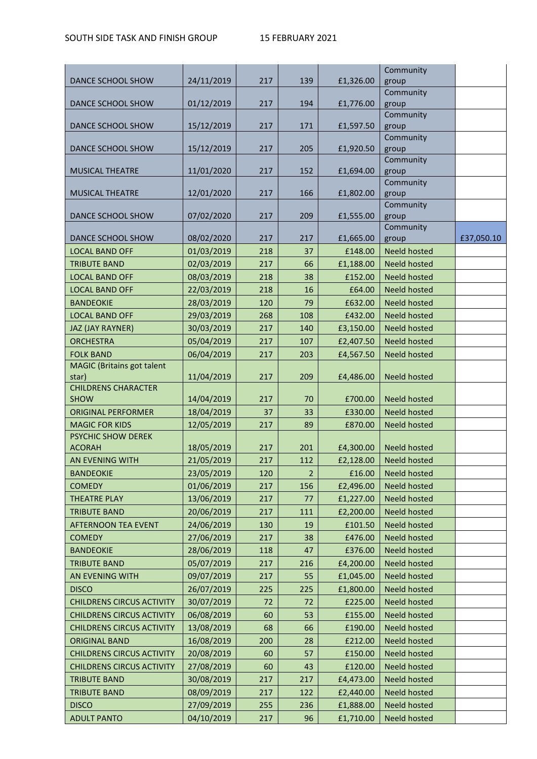|                                           |                          |     |                |           | Community           |            |
|-------------------------------------------|--------------------------|-----|----------------|-----------|---------------------|------------|
| DANCE SCHOOL SHOW                         | 24/11/2019               | 217 | 139            | £1,326.00 | group               |            |
|                                           |                          |     |                |           | Community           |            |
| DANCE SCHOOL SHOW                         | 01/12/2019               | 217 | 194            | £1,776.00 | group               |            |
| DANCE SCHOOL SHOW                         | 15/12/2019               | 217 | 171            | £1,597.50 | Community<br>group  |            |
|                                           |                          |     |                |           | Community           |            |
| DANCE SCHOOL SHOW                         | 15/12/2019               | 217 | 205            | £1,920.50 | group               |            |
|                                           |                          |     |                |           | Community           |            |
| <b>MUSICAL THEATRE</b>                    | 11/01/2020               | 217 | 152            | £1,694.00 | group               |            |
|                                           |                          |     |                |           | Community           |            |
| <b>MUSICAL THEATRE</b>                    | 12/01/2020               | 217 | 166            | £1,802.00 | group               |            |
|                                           |                          |     |                |           | Community           |            |
| DANCE SCHOOL SHOW                         | 07/02/2020               | 217 | 209            | £1,555.00 | group               |            |
| DANCE SCHOOL SHOW                         | 08/02/2020               | 217 | 217            | £1,665.00 | Community<br>group  | £37,050.10 |
| <b>LOCAL BAND OFF</b>                     | 01/03/2019               | 218 | 37             | £148.00   | <b>Neeld hosted</b> |            |
| <b>TRIBUTE BAND</b>                       | 02/03/2019               | 217 |                |           |                     |            |
|                                           |                          |     | 66             | £1,188.00 | <b>Neeld hosted</b> |            |
| <b>LOCAL BAND OFF</b>                     | 08/03/2019               | 218 | 38             | £152.00   | <b>Neeld hosted</b> |            |
| <b>LOCAL BAND OFF</b>                     | 22/03/2019               | 218 | 16             | £64.00    | <b>Neeld hosted</b> |            |
| <b>BANDEOKIE</b>                          | 28/03/2019               | 120 | 79             | £632.00   | <b>Neeld hosted</b> |            |
| <b>LOCAL BAND OFF</b>                     | 29/03/2019               | 268 | 108            | £432.00   | <b>Neeld hosted</b> |            |
| <b>JAZ (JAY RAYNER)</b>                   | 30/03/2019               | 217 | 140            | £3,150.00 | <b>Neeld hosted</b> |            |
| <b>ORCHESTRA</b>                          | 05/04/2019               | 217 | 107            | £2,407.50 | <b>Neeld hosted</b> |            |
| <b>FOLK BAND</b>                          | 06/04/2019               | 217 | 203            | £4,567.50 | <b>Neeld hosted</b> |            |
| <b>MAGIC</b> (Britains got talent         |                          |     |                |           |                     |            |
| star)                                     | 11/04/2019               | 217 | 209            | £4,486.00 | <b>Neeld hosted</b> |            |
| <b>CHILDRENS CHARACTER</b><br><b>SHOW</b> | 14/04/2019               | 217 | 70             | £700.00   | <b>Neeld hosted</b> |            |
| <b>ORIGINAL PERFORMER</b>                 | 18/04/2019               | 37  | 33             | £330.00   | <b>Neeld hosted</b> |            |
| <b>MAGIC FOR KIDS</b>                     |                          |     |                |           | <b>Neeld hosted</b> |            |
| PSYCHIC SHOW DEREK                        | 12/05/2019               | 217 | 89             | £870.00   |                     |            |
| <b>ACORAH</b>                             | 18/05/2019               | 217 | 201            | £4,300.00 | <b>Neeld hosted</b> |            |
| AN EVENING WITH                           | 21/05/2019               | 217 | 112            | £2,128.00 | <b>Neeld hosted</b> |            |
| <b>BANDEOKIE</b>                          | 23/05/2019               | 120 | $\overline{2}$ | £16.00    | <b>Neeld hosted</b> |            |
| <b>COMEDY</b>                             | 01/06/2019               | 217 | 156            | £2,496.00 | <b>Neeld hosted</b> |            |
| <b>THEATRE PLAY</b>                       | 13/06/2019               | 217 | 77             | £1,227.00 | <b>Neeld hosted</b> |            |
| <b>TRIBUTE BAND</b>                       | 20/06/2019               | 217 | 111            | £2,200.00 | <b>Neeld hosted</b> |            |
|                                           |                          |     |                |           |                     |            |
| <b>AFTERNOON TEA EVENT</b>                | 24/06/2019<br>27/06/2019 | 130 | 19             | £101.50   | <b>Neeld hosted</b> |            |
| <b>COMEDY</b>                             |                          | 217 | 38             | £476.00   | <b>Neeld hosted</b> |            |
| <b>BANDEOKIE</b>                          | 28/06/2019               | 118 | 47             | £376.00   | <b>Neeld hosted</b> |            |
| <b>TRIBUTE BAND</b>                       | 05/07/2019               | 217 | 216            | £4,200.00 | <b>Neeld hosted</b> |            |
| AN EVENING WITH                           | 09/07/2019               | 217 | 55             | £1,045.00 | <b>Neeld hosted</b> |            |
| <b>DISCO</b>                              | 26/07/2019               | 225 | 225            | £1,800.00 | <b>Neeld hosted</b> |            |
| <b>CHILDRENS CIRCUS ACTIVITY</b>          | 30/07/2019               | 72  | 72             | £225.00   | <b>Neeld hosted</b> |            |
| <b>CHILDRENS CIRCUS ACTIVITY</b>          | 06/08/2019               | 60  | 53             | £155.00   | <b>Neeld hosted</b> |            |
| <b>CHILDRENS CIRCUS ACTIVITY</b>          | 13/08/2019               | 68  | 66             | £190.00   | <b>Neeld hosted</b> |            |
| <b>ORIGINAL BAND</b>                      | 16/08/2019               | 200 | 28             | £212.00   | <b>Neeld hosted</b> |            |
| <b>CHILDRENS CIRCUS ACTIVITY</b>          | 20/08/2019               | 60  | 57             | £150.00   | Neeld hosted        |            |
| <b>CHILDRENS CIRCUS ACTIVITY</b>          | 27/08/2019               | 60  | 43             | £120.00   | <b>Neeld hosted</b> |            |
| <b>TRIBUTE BAND</b>                       | 30/08/2019               | 217 | 217            | £4,473.00 | <b>Neeld hosted</b> |            |
| <b>TRIBUTE BAND</b>                       | 08/09/2019               | 217 | 122            | £2,440.00 | <b>Neeld hosted</b> |            |
| <b>DISCO</b>                              | 27/09/2019               | 255 | 236            | £1,888.00 | <b>Neeld hosted</b> |            |
| <b>ADULT PANTO</b>                        | 04/10/2019               | 217 | 96             | £1,710.00 | Neeld hosted        |            |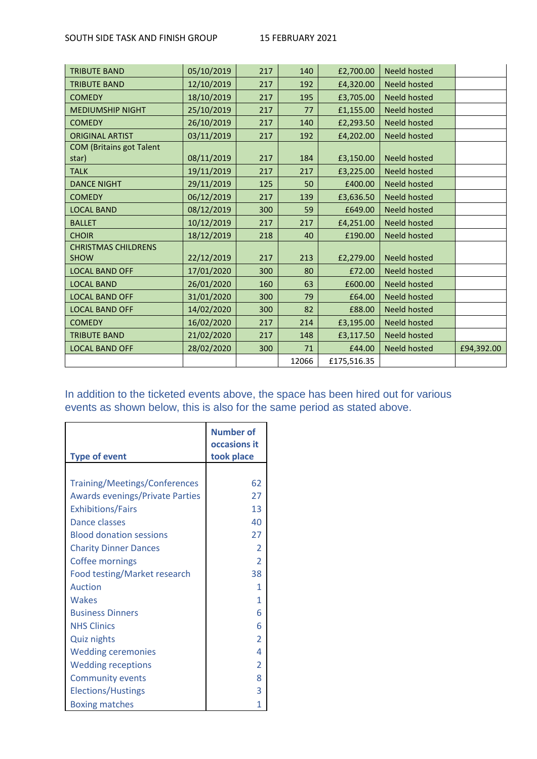#### SOUTH SIDE TASK AND FINISH GROUP 15 FEBRUARY 2021

| <b>TRIBUTE BAND</b>             | 05/10/2019 | 217 | 140   | £2,700.00   | <b>Neeld hosted</b> |            |
|---------------------------------|------------|-----|-------|-------------|---------------------|------------|
| <b>TRIBUTE BAND</b>             | 12/10/2019 | 217 | 192   | £4,320.00   | <b>Neeld hosted</b> |            |
| <b>COMEDY</b>                   | 18/10/2019 | 217 | 195   | £3,705.00   | <b>Neeld hosted</b> |            |
| <b>MEDIUMSHIP NIGHT</b>         | 25/10/2019 | 217 | 77    | £1,155.00   | <b>Neeld hosted</b> |            |
| <b>COMEDY</b>                   | 26/10/2019 | 217 | 140   | £2,293.50   | <b>Neeld hosted</b> |            |
| <b>ORIGINAL ARTIST</b>          | 03/11/2019 | 217 | 192   | £4,202.00   | <b>Neeld hosted</b> |            |
| <b>COM (Britains got Talent</b> |            |     |       |             |                     |            |
| star)                           | 08/11/2019 | 217 | 184   | £3,150.00   | Neeld hosted        |            |
| <b>TALK</b>                     | 19/11/2019 | 217 | 217   | £3,225.00   | <b>Neeld hosted</b> |            |
| <b>DANCE NIGHT</b>              | 29/11/2019 | 125 | 50    | £400.00     | <b>Neeld hosted</b> |            |
| <b>COMEDY</b>                   | 06/12/2019 | 217 | 139   | £3,636.50   | <b>Neeld hosted</b> |            |
| <b>LOCAL BAND</b>               | 08/12/2019 | 300 | 59    | £649.00     | <b>Neeld hosted</b> |            |
| <b>BALLET</b>                   | 10/12/2019 | 217 | 217   | £4,251.00   | <b>Neeld hosted</b> |            |
| <b>CHOIR</b>                    | 18/12/2019 | 218 | 40    | £190.00     | <b>Neeld hosted</b> |            |
| <b>CHRISTMAS CHILDRENS</b>      |            |     |       |             |                     |            |
| <b>SHOW</b>                     | 22/12/2019 | 217 | 213   | £2,279.00   | Neeld hosted        |            |
| <b>LOCAL BAND OFF</b>           | 17/01/2020 | 300 | 80    | £72.00      | Neeld hosted        |            |
| <b>LOCAL BAND</b>               | 26/01/2020 | 160 | 63    | £600.00     | Neeld hosted        |            |
| <b>LOCAL BAND OFF</b>           | 31/01/2020 | 300 | 79    | £64.00      | <b>Neeld hosted</b> |            |
| <b>LOCAL BAND OFF</b>           | 14/02/2020 | 300 | 82    | £88.00      | <b>Neeld hosted</b> |            |
| <b>COMEDY</b>                   | 16/02/2020 | 217 | 214   | £3,195.00   | <b>Neeld hosted</b> |            |
| <b>TRIBUTE BAND</b>             | 21/02/2020 | 217 | 148   | £3,117.50   | Neeld hosted        |            |
| <b>LOCAL BAND OFF</b>           | 28/02/2020 | 300 | 71    | £44.00      | <b>Neeld hosted</b> | £94,392.00 |
|                                 |            |     | 12066 | £175,516.35 |                     |            |

In addition to the ticketed events above, the space has been hired out for various events as shown below, this is also for the same period as stated above.

|                                                                         | <b>Number of</b><br>occasions it |
|-------------------------------------------------------------------------|----------------------------------|
| <b>Type of event</b>                                                    | took place                       |
| Training/Meetings/Conferences<br><b>Awards evenings/Private Parties</b> | 62<br>27                         |
| <b>Exhibitions/Fairs</b>                                                | 13                               |
| Dance classes                                                           | 40                               |
| <b>Blood donation sessions</b>                                          | 27                               |
| <b>Charity Dinner Dances</b>                                            | $\overline{2}$                   |
| <b>Coffee mornings</b>                                                  | $\overline{\phantom{a}}$         |
| Food testing/Market research                                            | 38                               |
| Auction                                                                 | 1                                |
| Wakes                                                                   | 1                                |
| <b>Business Dinners</b>                                                 | 6                                |
| <b>NHS Clinics</b>                                                      | 6                                |
| <b>Quiz nights</b>                                                      | 2                                |
| <b>Wedding ceremonies</b>                                               | 4                                |
| <b>Wedding receptions</b>                                               | $\overline{2}$                   |
| <b>Community events</b>                                                 | 8                                |
| <b>Elections/Hustings</b>                                               | 3                                |
| <b>Boxing matches</b>                                                   | 1                                |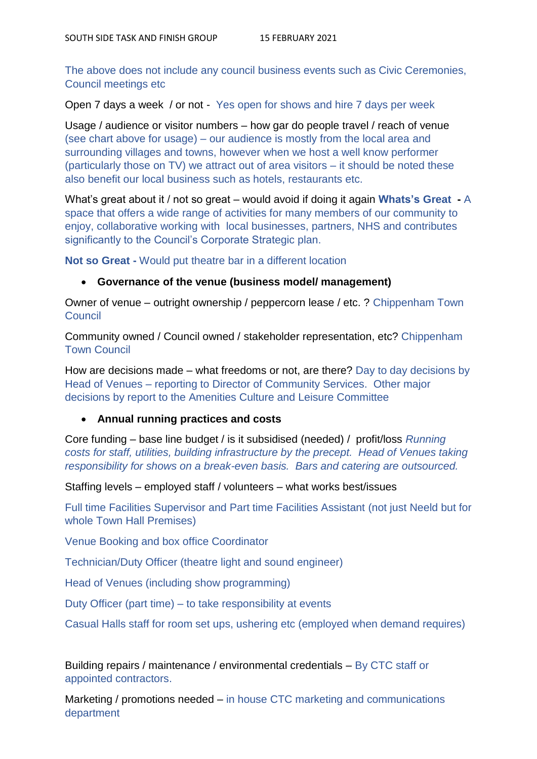The above does not include any council business events such as Civic Ceremonies, Council meetings etc

Open 7 days a week / or not - Yes open for shows and hire 7 days per week

Usage / audience or visitor numbers – how gar do people travel / reach of venue (see chart above for usage) – our audience is mostly from the local area and surrounding villages and towns, however when we host a well know performer (particularly those on TV) we attract out of area visitors – it should be noted these also benefit our local business such as hotels, restaurants etc.

What's great about it / not so great – would avoid if doing it again **Whats's Great -** A space that offers a wide range of activities for many members of our community to enjoy, collaborative working with local businesses, partners, NHS and contributes significantly to the Council's Corporate Strategic plan.

**Not so Great -** Would put theatre bar in a different location

### **Governance of the venue (business model/ management)**

Owner of venue – outright ownership / peppercorn lease / etc. ? Chippenham Town Council

Community owned / Council owned / stakeholder representation, etc? Chippenham Town Council

How are decisions made – what freedoms or not, are there? Day to day decisions by Head of Venues – reporting to Director of Community Services. Other major decisions by report to the Amenities Culture and Leisure Committee

## **Annual running practices and costs**

Core funding – base line budget / is it subsidised (needed) / profit/loss *Running costs for staff, utilities, building infrastructure by the precept. Head of Venues taking responsibility for shows on a break-even basis. Bars and catering are outsourced.*

Staffing levels – employed staff / volunteers – what works best/issues

Full time Facilities Supervisor and Part time Facilities Assistant (not just Neeld but for whole Town Hall Premises)

Venue Booking and box office Coordinator

Technician/Duty Officer (theatre light and sound engineer)

Head of Venues (including show programming)

Duty Officer (part time) – to take responsibility at events

Casual Halls staff for room set ups, ushering etc (employed when demand requires)

Building repairs / maintenance / environmental credentials – By CTC staff or appointed contractors.

Marketing / promotions needed – in house CTC marketing and communications department